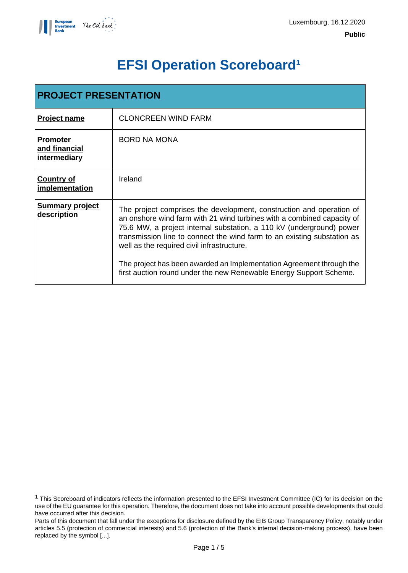

# **EFSI Operation Scoreboard<sup>1</sup>**

| <b>PROJECT PRESENTATION</b>                      |                                                                                                                                                                                                                                                                                                                                                                                                                                                                                               |  |
|--------------------------------------------------|-----------------------------------------------------------------------------------------------------------------------------------------------------------------------------------------------------------------------------------------------------------------------------------------------------------------------------------------------------------------------------------------------------------------------------------------------------------------------------------------------|--|
| <b>Project name</b>                              | <b>CLONCREEN WIND FARM</b>                                                                                                                                                                                                                                                                                                                                                                                                                                                                    |  |
| <b>Promoter</b><br>and financial<br>intermediary | <b>BORD NA MONA</b>                                                                                                                                                                                                                                                                                                                                                                                                                                                                           |  |
| <b>Country of</b><br>implementation              | Ireland                                                                                                                                                                                                                                                                                                                                                                                                                                                                                       |  |
| <b>Summary project</b><br>description            | The project comprises the development, construction and operation of<br>an onshore wind farm with 21 wind turbines with a combined capacity of<br>75.6 MW, a project internal substation, a 110 kV (underground) power<br>transmission line to connect the wind farm to an existing substation as<br>well as the required civil infrastructure.<br>The project has been awarded an Implementation Agreement through the<br>first auction round under the new Renewable Energy Support Scheme. |  |

<sup>1</sup> This Scoreboard of indicators reflects the information presented to the EFSI Investment Committee (IC) for its decision on the use of the EU guarantee for this operation. Therefore, the document does not take into account possible developments that could have occurred after this decision.

Parts of this document that fall under the exceptions for disclosure defined by the EIB Group Transparency Policy, notably under articles 5.5 (protection of commercial interests) and 5.6 (protection of the Bank's internal decision-making process), have been replaced by the symbol [...].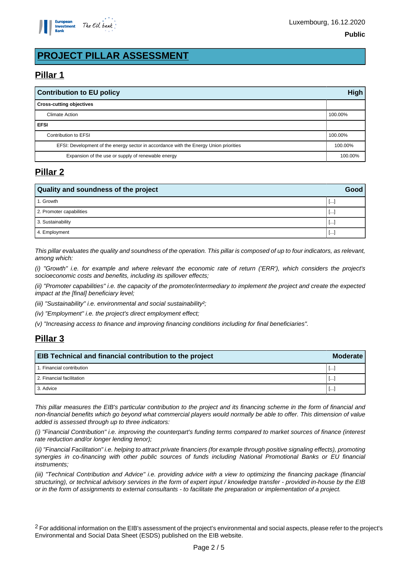

## **PROJECT PILLAR ASSESSMENT**

## **Pillar 1**

| <b>Contribution to EU policy</b>                                                      |         |
|---------------------------------------------------------------------------------------|---------|
| <b>Cross-cutting objectives</b>                                                       |         |
| Climate Action                                                                        | 100.00% |
| <b>EFSI</b>                                                                           |         |
| Contribution to EFSI                                                                  | 100.00% |
| EFSI: Development of the energy sector in accordance with the Energy Union priorities |         |
| Expansion of the use or supply of renewable energy                                    |         |

## **Pillar 2**

| Quality and soundness of the project |          |  |
|--------------------------------------|----------|--|
| 1. Growth                            | $\cdots$ |  |
| 2. Promoter capabilities             | $\cdots$ |  |
| 3. Sustainability                    | a basar  |  |
| 4. Employment                        | .        |  |

This pillar evaluates the quality and soundness of the operation. This pillar is composed of up to four indicators, as relevant, among which:

(i) "Growth" i.e. for example and where relevant the economic rate of return ('ERR'), which considers the project's socioeconomic costs and benefits, including its spillover effects;

(ii) "Promoter capabilities" i.e. the capacity of the promoter/intermediary to implement the project and create the expected impact at the [final] beneficiary level;

(iii) "Sustainability" i.e. environmental and social sustainability?;

(iv) "Employment" i.e. the project's direct employment effect;

(v) "Increasing access to finance and improving financing conditions including for final beneficiaries".

## **Pillar 3**

| EIB Technical and financial contribution to the project |                          |  |
|---------------------------------------------------------|--------------------------|--|
| 1. Financial contribution                               | $\overline{\phantom{a}}$ |  |
| 2. Financial facilitation                               | Ŀ.                       |  |
| 3. Advice                                               | $\cdots$                 |  |

This pillar measures the EIB's particular contribution to the project and its financing scheme in the form of financial and non-financial benefits which go beyond what commercial players would normally be able to offer. This dimension of value added is assessed through up to three indicators:

(i) "Financial Contribution" i.e. improving the counterpart's funding terms compared to market sources of finance (interest rate reduction and/or longer lending tenor);

(ii) "Financial Facilitation" i.e. helping to attract private financiers (for example through positive signaling effects), promoting synergies in co-financing with other public sources of funds including National Promotional Banks or EU financial instruments;

(iii) "Technical Contribution and Advice" i.e. providing advice with a view to optimizing the financing package (financial structuring), or technical advisory services in the form of expert input / knowledge transfer - provided in-house by the EIB or in the form of assignments to external consultants - to facilitate the preparation or implementation of a project.

<sup>2</sup> For additional information on the EIB's assessment of the project's environmental and social aspects, please refer to the project's Environmental and Social Data Sheet (ESDS) published on the EIB website.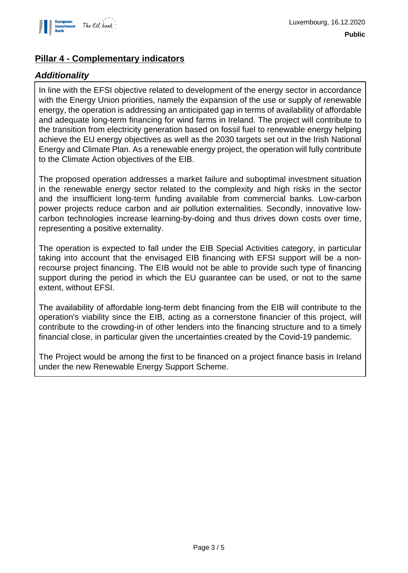

## **Pillar 4 - Complementary indicators**

### **Additionality**

In line with the EFSI objective related to development of the energy sector in accordance with the Energy Union priorities, namely the expansion of the use or supply of renewable energy, the operation is addressing an anticipated gap in terms of availability of affordable and adequate long-term financing for wind farms in Ireland. The project will contribute to the transition from electricity generation based on fossil fuel to renewable energy helping achieve the EU energy objectives as well as the 2030 targets set out in the Irish National Energy and Climate Plan. As a renewable energy project, the operation will fully contribute to the Climate Action objectives of the EIB.

The proposed operation addresses a market failure and suboptimal investment situation in the renewable energy sector related to the complexity and high risks in the sector and the insufficient long-term funding available from commercial banks. Low-carbon power projects reduce carbon and air pollution externalities. Secondly, innovative lowcarbon technologies increase learning-by-doing and thus drives down costs over time, representing a positive externality.

The operation is expected to fall under the EIB Special Activities category, in particular taking into account that the envisaged EIB financing with EFSI support will be a nonrecourse project financing. The EIB would not be able to provide such type of financing support during the period in which the EU guarantee can be used, or not to the same extent, without EFSI.

The availability of affordable long-term debt financing from the EIB will contribute to the operation's viability since the EIB, acting as a cornerstone financier of this project, will contribute to the crowding-in of other lenders into the financing structure and to a timely financial close, in particular given the uncertainties created by the Covid-19 pandemic.

The Project would be among the first to be financed on a project finance basis in Ireland under the new Renewable Energy Support Scheme.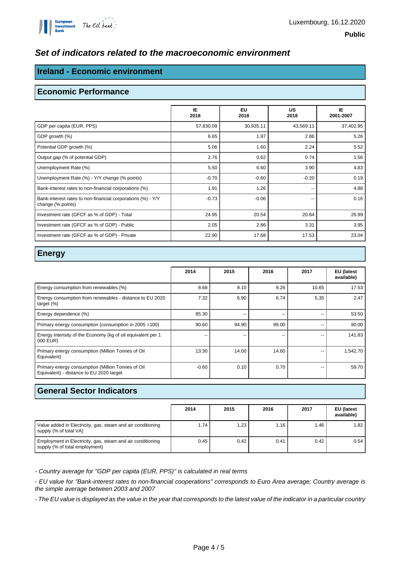#### **Set of indicators related to the macroeconomic environment**

#### **Ireland - Economic environment**

#### **Economic Performance**

|                                                                                  | IE<br>2018 | <b>EU</b><br>2018 | <b>US</b><br>2018 | IE.<br>2001-2007 |
|----------------------------------------------------------------------------------|------------|-------------------|-------------------|------------------|
| GDP per capita (EUR, PPS)                                                        | 57,830.09  | 30,935.11         | 43,569.11         | 37,402.95        |
| GDP growth (%)                                                                   | 6.65       | 1.97              | 2.86              | 5.26             |
| Potential GDP growth (%)                                                         | 5.06       | 1.60              | 2.24              | 5.52             |
| Output gap (% of potential GDP)                                                  | 2.76       | 0.62              | 0.74              | 1.56             |
| Unemployment Rate (%)                                                            | 5.50       | 6.60              | 3.90              | 4.83             |
| Unemployment Rate (%) - Y/Y change (% points)                                    | $-0.70$    | $-0.60$           | $-0.20$           | 0.19             |
| Bank-interest rates to non-financial corporations (%)                            | 1.91       | 1.26              | --                | 4.88             |
| Bank-interest rates to non-financial corporations (%) - Y/Y<br>change (% points) | $-0.73$    | $-0.06$           | --                | 0.16             |
| Investment rate (GFCF as % of GDP) - Total                                       | 24.95      | 20.54             | 20.84             | 26.99            |
| Investment rate (GFCF as % of GDP) - Public                                      | 2.05       | 2.86              | 3.31              | 3.95             |
| Investment rate (GFCF as % of GDP) - Private                                     | 22.90      | 17.68             | 17.53             | 23.04            |

#### **Energy**

|                                                                                               | 2014    | 2015  | 2016  | 2017  | EU (latest<br>available) |
|-----------------------------------------------------------------------------------------------|---------|-------|-------|-------|--------------------------|
| Energy consumption from renewables (%)                                                        | 8.68    | 9.10  | 9.26  | 10.65 | 17.53                    |
| Energy consumption from renewables - distance to EU 2020<br>target $(\%)$                     | 7.32    | 6.90  | 6.74  | 5.35  | 2.47                     |
| Energy dependence (%)                                                                         | 85.30   |       | --    |       | 53.50                    |
| Primary energy consumption (consumption in 2005 = 100)                                        | 90.60   | 94.90 | 99.00 | --    | 90.00                    |
| Energy intensity of the Economy (kg of oil equivalent per 1<br>000 EUR)                       | --      | --    | --    | --    | 141.83                   |
| Primary energy consumption (Million Tonnes of Oil<br>Equivalent)                              | 13.30   | 14.00 | 14.60 | --    | 1,542.70                 |
| Primary energy consumption (Million Tonnes of Oil<br>Equivalent) - distance to EU 2020 target | $-0.60$ | 0.10  | 0.70  | --    | 59.70                    |

#### **General Sector Indicators**

|                                                                                              | 2014 | 2015 | 2016 | 2017 | EU (latest<br>available) |
|----------------------------------------------------------------------------------------------|------|------|------|------|--------------------------|
| Value added in Electricity, gas, steam and air conditioning<br>supply (% of total VA)        | 1.74 | 1.23 | 1.16 | 1.46 | 1.82                     |
| Employment in Electricity, gas, steam and air conditioning<br>supply (% of total employment) | 0.45 | 0.42 | 0.41 | 0.42 | 0.54                     |

- Country average for "GDP per capita (EUR, PPS)" is calculated in real terms

- EU value for "Bank-interest rates to non-financial cooperations" corresponds to Euro Area average; Country average is the simple average between 2003 and 2007

- The EU value is displayed as the value in the year that corresponds to the latest value of the indicator in a particular country